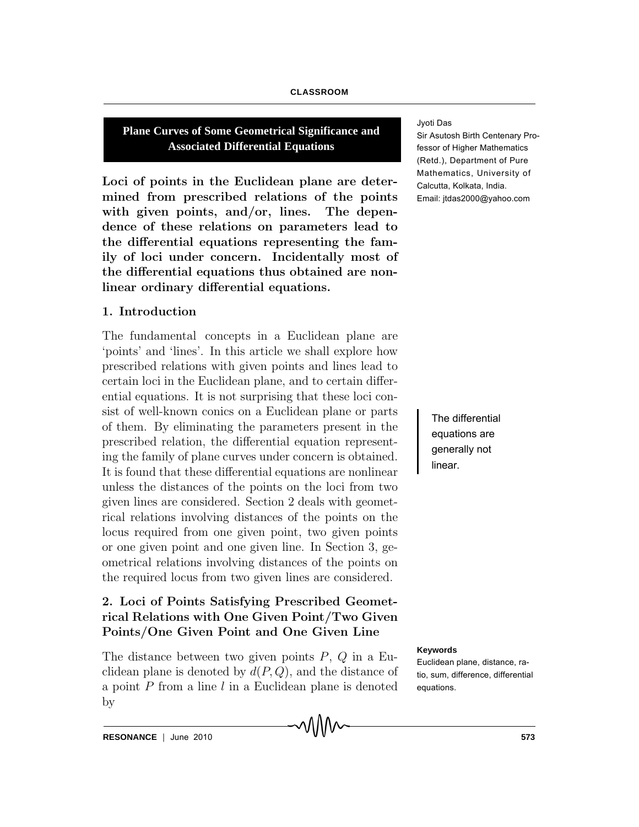#### **CLASSROOM**

**Plane Curves of Some Geometrical Significance and Associated Differential Equations**

Loci of points in the Euclidean plane are determined from prescribed relations of the points with given points, and/or, lines. The dependence of these relations on parameters lead to the differential equations representing the family of loci under concern. Incidentally most of the differential equations thus obtained are nonlinear ordinary differential equations.

### 1. Introduction

The fundamental concepts in a Euclidean plane are 'points' and 'lines'. In this article we shall explore how prescribed relations with given points and lines lead to certain loci in the Euclidean plane, and to certain differential equations. It is not surprising that these loci consist of well-known conics on a Euclidean plane or parts of them. By eliminating the parameters present in the prescribed relation, the differential equation representing the family of plane curves under concern is obtained. It is found that these differential equations are nonlinear unless the distances of the points on the loci from two given lines are considered. Section 2 deals with geometrical relations involving distances of the points on the locus required from one given point, two given points or one given point and one given line. In Section 3, geometrical relations involving distances of the points on the required locus from two given lines are considered.

# 2. Loci of Points Satisfying Prescribed Geometrical Relations with One Given Point/Two Given Points/One Given Point and One Given Line

The distance between two given points  $P$ ,  $Q$  in a Euclidean plane is denoted by  $d(P,Q)$ , and the distance of a point  $P$  from a line  $l$  in a Euclidean plane is denoted by

∧∧∧∧

Jyoti Das

Sir Asutosh Birth Centenary Professor of Higher Mathematics (Retd.), Department of Pure Mathematics, University of Calcutta, Kolkata, India. Email: jtdas2000@yahoo.com

> The differential equations are generally not linear.

#### **Keywords**

Euclidean plane, distance, ratio, sum, difference, differential equations.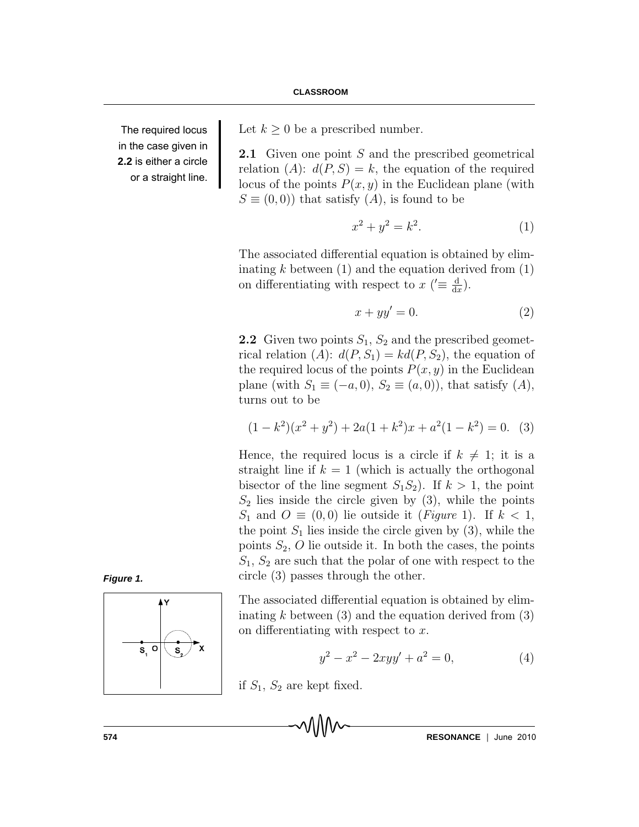The required locus in the case given in **2.2** is either a circle or a straight line. Let  $k \geq 0$  be a prescribed number.

**2.1** Given one point S and the prescribed geometrical relation  $(A)$ :  $d(P, S) = k$ , the equation of the required locus of the points  $P(x, y)$  in the Euclidean plane (with  $S \equiv (0,0)$  that satisfy  $(A)$ , is found to be

$$
x^2 + y^2 = k^2.
$$
 (1)

The associated differential equation is obtained by eliminating  $k$  between  $(1)$  and the equation derived from  $(1)$ on differentiating with respect to  $x$  ( $\equiv \frac{d}{dt}$  $\frac{\mathrm{d}}{\mathrm{d}x}$ .

$$
x + yy' = 0.\t\t(2)
$$

**2.2** Given two points  $S_1$ ,  $S_2$  and the prescribed geometrical relation  $(A)$ :  $d(P, S_1) = kd(P, S_2)$ , the equation of the required locus of the points  $P(x, y)$  in the Euclidean plane (with  $S_1 \equiv (-a, 0), S_2 \equiv (a, 0)$ ), that satisfy  $(A)$ , turns out to be

$$
(1 - k2)(x2 + y2) + 2a(1 + k2)x + a2(1 - k2) = 0.
$$
 (3)

Hence, the required locus is a circle if  $k \neq 1$ ; it is a straight line if  $k = 1$  (which is actually the orthogonal bisector of the line segment  $S_1S_2$ . If  $k > 1$ , the point  $S_2$  lies inside the circle given by (3), while the points  $S_1$  and  $O \equiv (0,0)$  lie outside it (*Figure* 1). If  $k < 1$ , the point  $S_1$  lies inside the circle given by (3), while the points  $S_2$ , O lie outside it. In both the cases, the points  $S_1, S_2$  are such that the polar of one with respect to the circle (3) passes through the other.

*Figure 1.*



The associated differential equation is obtained by eliminating k between  $(3)$  and the equation derived from  $(3)$ on differentiating with respect to x.

$$
y^2 - x^2 - 2xyy' + a^2 = 0,
$$
\n(4)

if  $S_1$ ,  $S_2$  are kept fixed.

**574 RESONANCE** | June 2010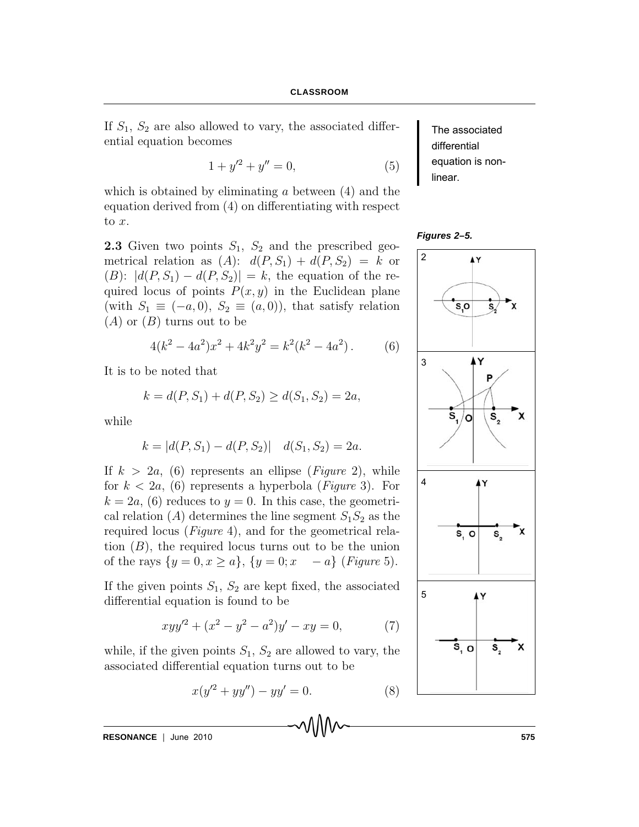If  $S_1$ ,  $S_2$  are also allowed to vary, the associated differential equation becomes

$$
1 + y'^2 + y'' = 0,\t(5)
$$

which is obtained by eliminating  $\alpha$  between  $(4)$  and the equation derived from (4) on differentiating with respect to x.

**2.3** Given two points  $S_1$ ,  $S_2$  and the prescribed geometrical relation as  $(A)$ :  $d(P, S_1) + d(P, S_2) = k$  or (B):  $|d(P, S_1) - d(P, S_2)| = k$ , the equation of the required locus of points  $P(x, y)$  in the Euclidean plane (with  $S_1 \equiv (-a, 0), S_2 \equiv (a, 0)$ ), that satisfy relation  $(A)$  or  $(B)$  turns out to be

$$
4(k2 - 4a2)x2 + 4k2y2 = k2(k2 - 4a2). (6)
$$

It is to be noted that

$$
k = d(P, S_1) + d(P, S_2) \ge d(S_1, S_2) = 2a,
$$

while

$$
k = |d(P, S_1) - d(P, S_2)| \quad d(S_1, S_2) = 2a.
$$

If  $k > 2a$ , (6) represents an ellipse (*Figure 2*), while for  $k < 2a$ , (6) represents a hyperbola (*Figure* 3). For  $k = 2a$ , (6) reduces to  $y = 0$ . In this case, the geometrical relation  $(A)$  determines the line segment  $S_1S_2$  as the required locus (Figure 4), and for the geometrical relation  $(B)$ , the required locus turns out to be the union of the rays  $\{y = 0, x \ge a\}, \{y = 0; x - a\}$  (Figure 5).

If the given points  $S_1$ ,  $S_2$  are kept fixed, the associated differential equation is found to be

$$
xyy'^2 + (x^2 - y^2 - a^2)y' - xy = 0,
$$
 (7)

while, if the given points  $S_1$ ,  $S_2$  are allowed to vary, the associated differential equation turns out to be

$$
x(y'^2 + yy'') - yy' = 0.
$$
 (8)

**RESONANCE** June 2010 **575**

The associated differential equation is nonlinear.

*Figures 2–5.*

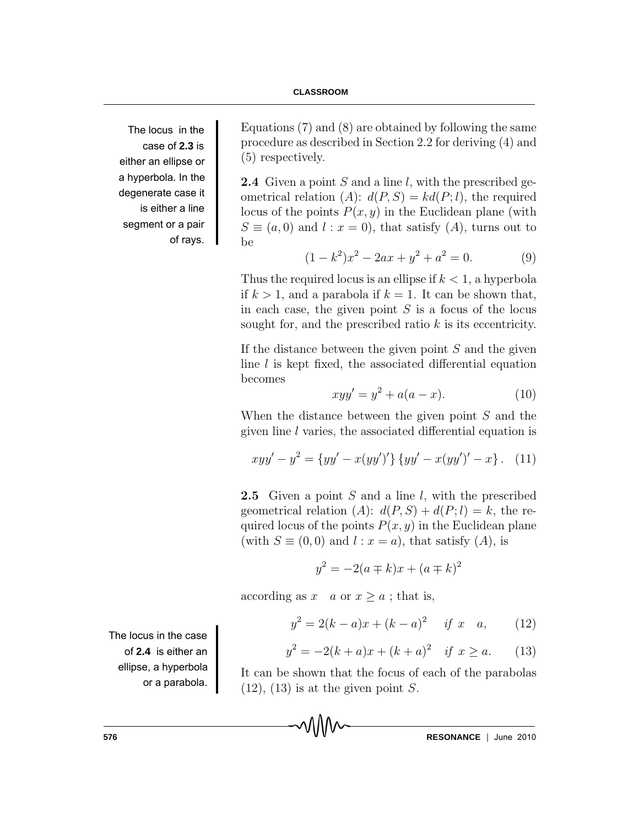#### **CLASSROOM**

The locus in the case of **2.3** is either an ellipse or a hyperbola. In the degenerate case it is either a line segment or a pair of rays.

Equations (7) and (8) are obtained by following the same procedure as described in Section 2.2 for deriving (4) and (5) respectively.

**2.4** Given a point S and a line l, with the prescribed geometrical relation (A):  $d(P, S) = kd(P, l)$ , the required locus of the points  $P(x, y)$  in the Euclidean plane (with  $S \equiv (a, 0)$  and  $l : x = 0$ , that satisfy  $(A)$ , turns out to be

$$
(1 - k2)x2 - 2ax + y2 + a2 = 0.
$$
 (9)

Thus the required locus is an ellipse if  $k < 1$ , a hyperbola if  $k > 1$ , and a parabola if  $k = 1$ . It can be shown that, in each case, the given point  $S$  is a focus of the locus sought for, and the prescribed ratio  $k$  is its eccentricity.

If the distance between the given point  $S$  and the given line  $l$  is kept fixed, the associated differential equation becomes

$$
xyy' = y^2 + a(a - x).
$$
 (10)

When the distance between the given point S and the given line l varies, the associated differential equation is

$$
xyy' - y2 = {yy' - x(yy')'} \{yy' - x(yy')' - x\}.
$$
 (11)

**2.5** Given a point S and a line l, with the prescribed geometrical relation (A):  $d(P, S) + d(P, l) = k$ , the required locus of the points  $P(x, y)$  in the Euclidean plane (with  $S \equiv (0,0)$  and  $l : x = a$ ), that satisfy  $(A)$ , is

$$
y^2 = -2(a \mp k)x + (a \mp k)^2
$$

according as  $x \text{ or } x \geq a$ ; that is,

$$
y^2 = 2(k-a)x + (k-a)^2 \quad \text{if } x \quad a,\qquad(12)
$$

$$
y^2 = -2(k+a)x + (k+a)^2 \quad \text{if } x \ge a. \tag{13}
$$

It can be shown that the focus of each of the parabolas  $(12)$ ,  $(13)$  is at the given point S.

The locus in the case of **2.4** is either an ellipse, a hyperbola or a parabola.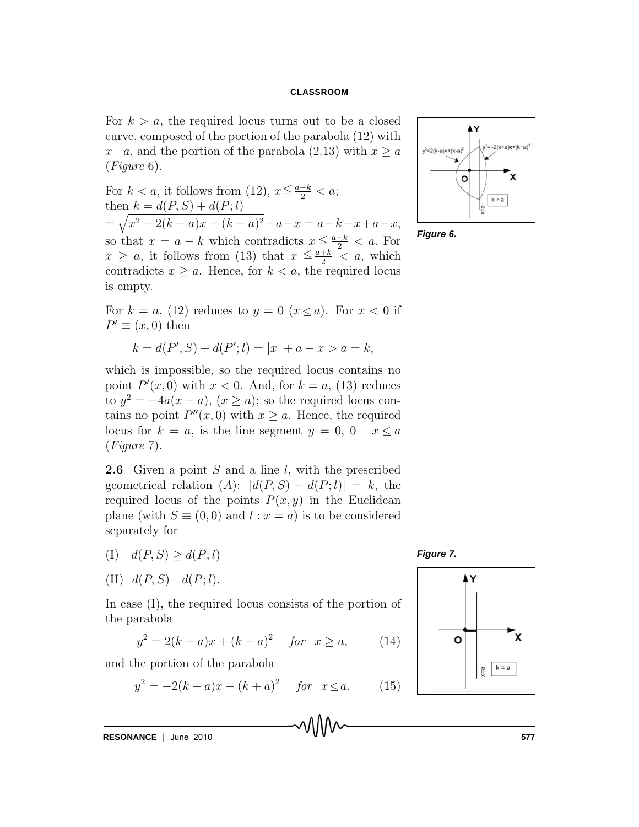For  $k > a$ , the required locus turns out to be a closed curve, composed of the portion of the parabola (12) with x a, and the portion of the parabola (2.13) with  $x \ge a$ (Figure 6).

For  $k < a$ , it follows from (12),  $x \leq \frac{a-k}{2} < a$ ; then  $k = d(P, S) + d(P; l)$  $=\sqrt{x^2+2(k-a)x+(k-a)^2}+a-x=a-k-x+a-x,$ so that  $x = a - k$  which contradicts  $x \leq \frac{a-k}{2} < a$ . For  $x \geq a$ , it follows from (13) that  $x \leq \frac{a+k}{2} < a$ , which contradicts  $x \ge a$ . Hence, for  $k < a$ , the required locus is empty.  $\leq$  $\leq$ 



*Figure 6.*

For  $k = a$ , (12) reduces to  $y = 0$   $(x \le a)$ . For  $x < 0$  if  $P' \equiv (x, 0)$  then

$$
k = d(P', S) + d(P'; l) = |x| + a - x > a = k,
$$

which is impossible, so the required locus contains no point  $P'(x,0)$  with  $x < 0$ . And, for  $k = a$ , (13) reduces to  $y^2 = -4a(x - a)$ ,  $(x \ge a)$ ; so the required locus contains no point  $P''(x, 0)$  with  $x \ge a$ . Hence, the required locus for  $k = a$ , is the line segment  $y = 0$ ,  $0 \quad x \le a$ (Figure 7).

**2.6** Given a point S and a line l, with the prescribed geometrical relation  $(A): |d(P, S) - d(P, l)| = k$ , the required locus of the points  $P(x, y)$  in the Euclidean plane (with  $S \equiv (0,0)$  and  $l : x = a$ ) is to be considered separately for

- (I)  $d(P, S) \geq d(P; l)$
- (II)  $d(P, S)$   $d(P; l)$ .

In case (I), the required locus consists of the portion of the parabola

$$
y^{2} = 2(k-a)x + (k-a)^{2} \quad \text{for} \ \ x \ge a, \qquad (14)
$$

and the portion of the parabola

$$
y^2 = -2(k+a)x + (k+a)^2 \quad \text{for} \ \ x \le a. \tag{15}
$$

**RESONANCE** June 2010 **577**

*Figure 7.*

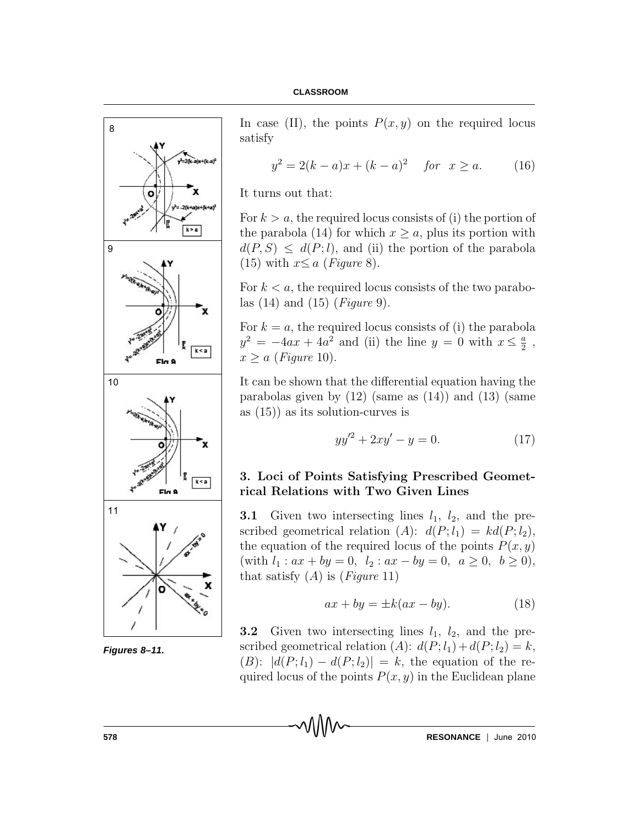

*Figures 8–11.*

In case (II), the points  $P(x, y)$  on the required locus satisfy

$$
y^2 = 2(k-a)x + (k-a)^2 \quad \text{for} \ \ x \ge a. \tag{16}
$$

It turns out that:

For  $k > a$ , the required locus consists of (i) the portion of the parabola (14) for which  $x > a$ , plus its portion with  $d(P, S) \leq d(P; l)$ , and (ii) the portion of the parabola (15) with  $x \le a$  (*Figure* 8).

For  $k < a$ , the required locus consists of the two parabolas  $(14)$  and  $(15)$  (*Figure 9*).

For  $k = a$ , the required locus consists of (i) the parabola  $y^2 = -4ax + 4a^2$  and (ii) the line  $y = 0$  with  $x \leq \frac{a}{2}$  $\leq \frac{a}{2}$ ,  $x \ge a$  (Figure 10).

It can be shown that the differential equation having the parabolas given by  $(12)$  (same as  $(14)$ ) and  $(13)$  (same as (15)) as its solution-curves is

$$
yy'^2 + 2xy' - y = 0.\t(17)
$$

# 3. Loci of Points Satisfying Prescribed Geometrical Relations with Two Given Lines

**3.1** Given two intersecting lines  $l_1$ ,  $l_2$ , and the prescribed geometrical relation (A):  $d(P; l_1) = kd(P; l_2),$ the equation of the required locus of the points  $P(x, y)$ (with  $l_1: ax + by = 0, l_2: ax - by = 0, a \ge 0, b \ge 0$ ), that satisfy  $(A)$  is  $(Figure 11)$ 

$$
ax + by = \pm k(ax - by).
$$
 (18)

**3.2** Given two intersecting lines  $l_1$ ,  $l_2$ , and the prescribed geometrical relation (A):  $d(P; l_1) + d(P; l_2) = k$ ,  $(B)$ :  $|d(P; l_1) - d(P; l_2)| = k$ , the equation of the required locus of the points  $P(x, y)$  in the Euclidean plane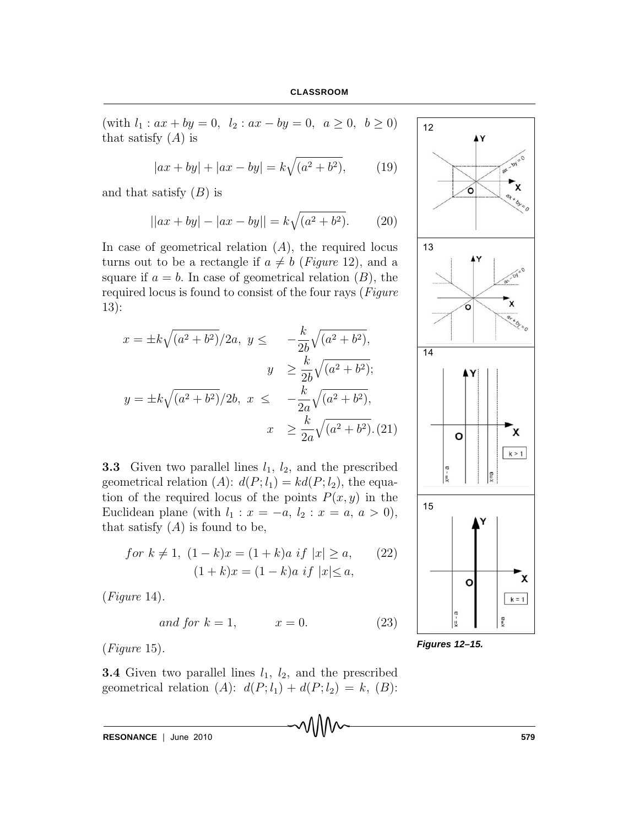(with  $l_1: ax + by = 0, l_2: ax - by = 0, a \ge 0, b \ge 0$ ) that satisfy  $(A)$  is

$$
|ax + by| + |ax - by| = k\sqrt{(a^2 + b^2)},
$$
 (19)

and that satisfy  $(B)$  is

$$
||ax + by| - |ax - by|| = k\sqrt{(a^2 + b^2)}.
$$
 (20)

In case of geometrical relation  $(A)$ , the required locus turns out to be a rectangle if  $a \neq b$  (Figure 12), and a square if  $a = b$ . In case of geometrical relation  $(B)$ , the required locus is found to consist of the four rays (Figure 13):

$$
x = \pm k \sqrt{(a^2 + b^2)} / 2a, \ y \leq -\frac{k}{2b} \sqrt{(a^2 + b^2)},
$$
  

$$
y \geq \frac{k}{2b} \sqrt{(a^2 + b^2)};
$$
  

$$
y = \pm k \sqrt{(a^2 + b^2)} / 2b, \ x \leq -\frac{k}{2a} \sqrt{(a^2 + b^2)},
$$
  

$$
x \geq \frac{k}{2a} \sqrt{(a^2 + b^2)}.
$$
 (21)

**3.3** Given two parallel lines  $l_1$ ,  $l_2$ , and the prescribed geometrical relation (A):  $d(P; l_1) = kd(P; l_2)$ , the equation of the required locus of the points  $P(x, y)$  in the Euclidean plane (with  $l_1 : x = -a, l_2 : x = a, a > 0$ ), that satisfy  $(A)$  is found to be,

for 
$$
k \neq 1
$$
,  $(1 - k)x = (1 + k)a$  if  $|x| \ge a$ ,  
\n $(1 + k)x = (1 - k)a$  if  $|x| \le a$ ,  
\n(22)

(Figure 14).

$$
and for k = 1, \qquad x = 0. \tag{23}
$$

(Figure 15).

**3.4** Given two parallel lines  $l_1$ ,  $l_2$ , and the prescribed geometrical relation (A):  $d(P; l_1) + d(P; l_2) = k$ , (B):

**RESONANCE** | June 2010 **579** 



*Figures 12–15.*